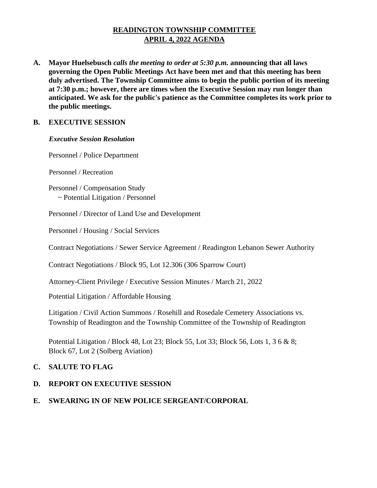# **READINGTON TOWNSHIP COMMITTEE APRIL 4, 2022 AGENDA**

**A. Mayor Huelsebusch** *calls the meeting to order at 5:30 p.m.* **announcing that all laws governing the Open Public Meetings Act have been met and that this meeting has been duly advertised. The Township Committee aims to begin the public portion of its meeting at 7:30 p.m.; however, there are times when the Executive Session may run longer than anticipated. We ask for the public's patience as the Committee completes its work prior to the public meetings.**

## **B. EXECUTIVE SESSION**

#### *Executive Session Resolution*

Personnel / Police Department

Personnel / Recreation

Personnel / Compensation Study ~ Potential Litigation / Personnel

Personnel / Director of Land Use and Development

Personnel / Housing / Social Services

Contract Negotiations / Sewer Service Agreement / Readington Lebanon Sewer Authority

Contract Negotiations / Block 95, Lot 12.306 (306 Sparrow Court)

Attorney-Client Privilege / Executive Session Minutes / March 21, 2022

Potential Litigation / Affordable Housing

Litigation / Civil Action Summons / Rosehill and Rosedale Cemetery Associations vs. Township of Readington and the Township Committee of the Township of Readington

Potential Litigation / Block 48, Lot 23; Block 55, Lot 33; Block 56, Lots 1, 3 6 & 8; Block 67, Lot 2 (Solberg Aviation)

## **C. SALUTE TO FLAG**

# **D. REPORT ON EXECUTIVE SESSION**

# **E. SWEARING IN OF NEW POLICE SERGEANT/CORPORAL**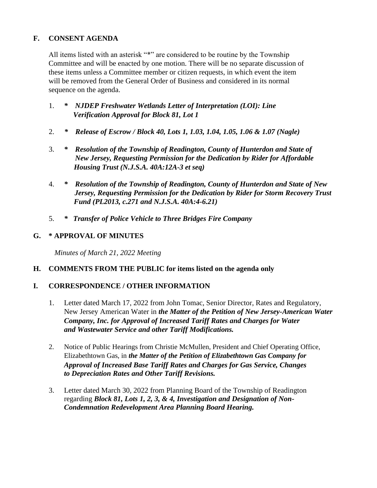## **F. CONSENT AGENDA**

All items listed with an asterisk "\*" are considered to be routine by the Township Committee and will be enacted by one motion. There will be no separate discussion of these items unless a Committee member or citizen requests, in which event the item will be removed from the General Order of Business and considered in its normal sequence on the agenda.

- 1. *\* NJDEP Freshwater Wetlands Letter of Interpretation (LOI): Line Verification Approval for Block 81, Lot 1*
- 2. *\* Release of Escrow / Block 40, Lots 1, 1.03, 1.04, 1.05, 1.06 & 1.07 (Nagle)*
- 3. *\* Resolution of the Township of Readington, County of Hunterdon and State of New Jersey, Requesting Permission for the Dedication by Rider for Affordable Housing Trust (N.J.S.A. 40A:12A-3 et seq)*
- 4. *\* Resolution of the Township of Readington, County of Hunterdon and State of New Jersey, Requesting Permission for the Dedication by Rider for Storm Recovery Trust Fund (PL2013, c.271 and N.J.S.A. 40A:4-6.21)*
- 5. *\* Transfer of Police Vehicle to Three Bridges Fire Company*

## **G. \* APPROVAL OF MINUTES**

 *Minutes of March 21, 2022 Meeting* 

## **H. COMMENTS FROM THE PUBLIC for items listed on the agenda only**

## **I. CORRESPONDENCE / OTHER INFORMATION**

- 1. Letter dated March 17, 2022 from John Tomac, Senior Director, Rates and Regulatory, New Jersey American Water in *the Matter of the Petition of New Jersey-American Water Company, Inc. for Approval of Increased Tariff Rates and Charges for Water and Wastewater Service and other Tariff Modifications.*
- 2. Notice of Public Hearings from Christie McMullen, President and Chief Operating Office, Elizabethtown Gas, in *the Matter of the Petition of Elizabethtown Gas Company for Approval of Increased Base Tariff Rates and Charges for Gas Service, Changes to Depreciation Rates and Other Tariff Revisions.*
- 3. Letter dated March 30, 2022 from Planning Board of the Township of Readington regarding *Block 81, Lots 1, 2, 3, & 4, Investigation and Designation of Non-Condemnation Redevelopment Area Planning Board Hearing.*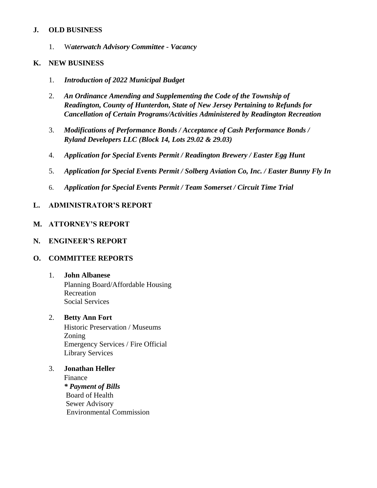#### **J. OLD BUSINESS**

1. W*aterwatch Advisory Committee - Vacancy*

#### **K. NEW BUSINESS**

- 1. *Introduction of 2022 Municipal Budget*
- 2. *An Ordinance Amending and Supplementing the Code of the Township of Readington, County of Hunterdon, State of New Jersey Pertaining to Refunds for Cancellation of Certain Programs/Activities Administered by Readington Recreation*
- 3. *Modifications of Performance Bonds / Acceptance of Cash Performance Bonds / Ryland Developers LLC (Block 14, Lots 29.02 & 29.03)*
- 4. *Application for Special Events Permit / Readington Brewery / Easter Egg Hunt*
- 5. *Application for Special Events Permit / Solberg Aviation Co, Inc. / Easter Bunny Fly In*
- 6. *Application for Special Events Permit / Team Somerset / Circuit Time Trial*

## **L. ADMINISTRATOR'S REPORT**

#### **M. ATTORNEY'S REPORT**

#### **N. ENGINEER'S REPORT**

## **O. COMMITTEE REPORTS**

## 1. **John Albanese**

Planning Board/Affordable Housing Recreation Social Services

#### 2. **Betty Ann Fort**

Historic Preservation / Museums Zoning Emergency Services / Fire Official Library Services

3. **Jonathan Heller** 

Finance *\* Payment of Bills* Board of Health Sewer Advisory Environmental Commission